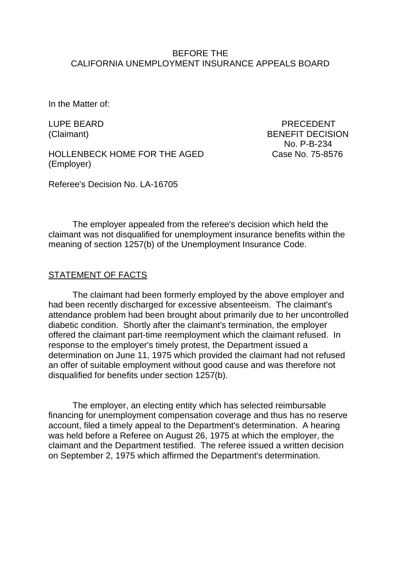### BEFORE THE CALIFORNIA UNEMPLOYMENT INSURANCE APPEALS BOARD

In the Matter of:

HOLLENBECK HOME FOR THE AGED Case No. 75-8576 (Employer)

LUPE BEARD PRECEDENT (Claimant) BENEFIT DECISION No. P-B-234

Referee's Decision No. LA-16705

The employer appealed from the referee's decision which held the claimant was not disqualified for unemployment insurance benefits within the meaning of section 1257(b) of the Unemployment Insurance Code.

### STATEMENT OF FACTS

The claimant had been formerly employed by the above employer and had been recently discharged for excessive absenteeism. The claimant's attendance problem had been brought about primarily due to her uncontrolled diabetic condition. Shortly after the claimant's termination, the employer offered the claimant part-time reemployment which the claimant refused. In response to the employer's timely protest, the Department issued a determination on June 11, 1975 which provided the claimant had not refused an offer of suitable employment without good cause and was therefore not disqualified for benefits under section 1257(b).

The employer, an electing entity which has selected reimbursable financing for unemployment compensation coverage and thus has no reserve account, filed a timely appeal to the Department's determination. A hearing was held before a Referee on August 26, 1975 at which the employer, the claimant and the Department testified. The referee issued a written decision on September 2, 1975 which affirmed the Department's determination.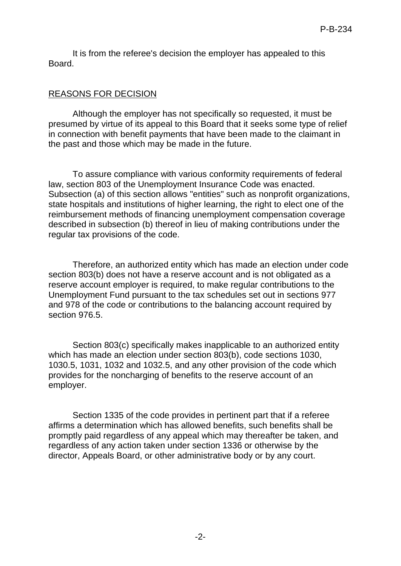It is from the referee's decision the employer has appealed to this Board.

## REASONS FOR DECISION

Although the employer has not specifically so requested, it must be presumed by virtue of its appeal to this Board that it seeks some type of relief in connection with benefit payments that have been made to the claimant in the past and those which may be made in the future.

To assure compliance with various conformity requirements of federal law, section 803 of the Unemployment Insurance Code was enacted. Subsection (a) of this section allows "entities" such as nonprofit organizations, state hospitals and institutions of higher learning, the right to elect one of the reimbursement methods of financing unemployment compensation coverage described in subsection (b) thereof in lieu of making contributions under the regular tax provisions of the code.

Therefore, an authorized entity which has made an election under code section 803(b) does not have a reserve account and is not obligated as a reserve account employer is required, to make regular contributions to the Unemployment Fund pursuant to the tax schedules set out in sections 977 and 978 of the code or contributions to the balancing account required by section 976.5.

Section 803(c) specifically makes inapplicable to an authorized entity which has made an election under section 803(b), code sections 1030, 1030.5, 1031, 1032 and 1032.5, and any other provision of the code which provides for the noncharging of benefits to the reserve account of an employer.

Section 1335 of the code provides in pertinent part that if a referee affirms a determination which has allowed benefits, such benefits shall be promptly paid regardless of any appeal which may thereafter be taken, and regardless of any action taken under section 1336 or otherwise by the director, Appeals Board, or other administrative body or by any court.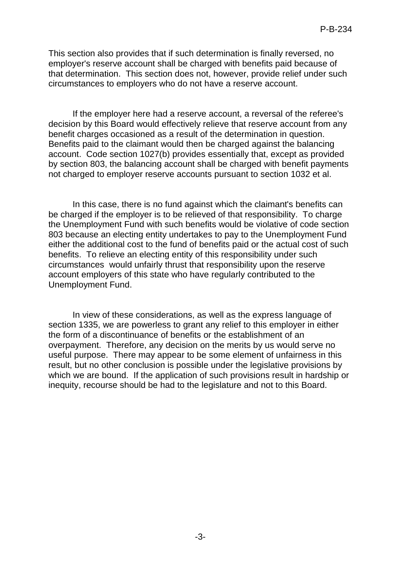This section also provides that if such determination is finally reversed, no employer's reserve account shall be charged with benefits paid because of that determination. This section does not, however, provide relief under such circumstances to employers who do not have a reserve account.

If the employer here had a reserve account, a reversal of the referee's decision by this Board would effectively relieve that reserve account from any benefit charges occasioned as a result of the determination in question. Benefits paid to the claimant would then be charged against the balancing account. Code section 1027(b) provides essentially that, except as provided by section 803, the balancing account shall be charged with benefit payments not charged to employer reserve accounts pursuant to section 1032 et al.

In this case, there is no fund against which the claimant's benefits can be charged if the employer is to be relieved of that responsibility. To charge the Unemployment Fund with such benefits would be violative of code section 803 because an electing entity undertakes to pay to the Unemployment Fund either the additional cost to the fund of benefits paid or the actual cost of such benefits. To relieve an electing entity of this responsibility under such circumstances would unfairly thrust that responsibility upon the reserve account employers of this state who have regularly contributed to the Unemployment Fund.

In view of these considerations, as well as the express language of section 1335, we are powerless to grant any relief to this employer in either the form of a discontinuance of benefits or the establishment of an overpayment. Therefore, any decision on the merits by us would serve no useful purpose. There may appear to be some element of unfairness in this result, but no other conclusion is possible under the legislative provisions by which we are bound. If the application of such provisions result in hardship or inequity, recourse should be had to the legislature and not to this Board.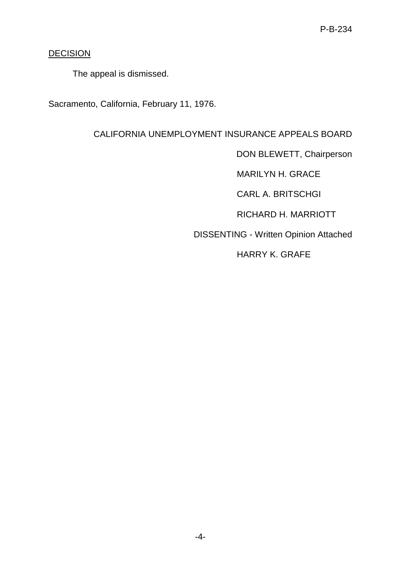# **DECISION**

The appeal is dismissed.

Sacramento, California, February 11, 1976.

CALIFORNIA UNEMPLOYMENT INSURANCE APPEALS BOARD

DON BLEWETT, Chairperson

MARILYN H. GRACE

CARL A. BRITSCHGI

RICHARD H. MARRIOTT

DISSENTING - Written Opinion Attached

HARRY K. GRAFE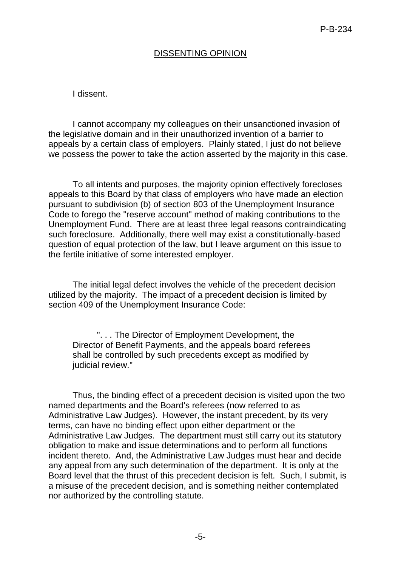## DISSENTING OPINION

#### I dissent.

I cannot accompany my colleagues on their unsanctioned invasion of the legislative domain and in their unauthorized invention of a barrier to appeals by a certain class of employers. Plainly stated, I just do not believe we possess the power to take the action asserted by the majority in this case.

To all intents and purposes, the majority opinion effectively forecloses appeals to this Board by that class of employers who have made an election pursuant to subdivision (b) of section 803 of the Unemployment Insurance Code to forego the "reserve account" method of making contributions to the Unemployment Fund. There are at least three legal reasons contraindicating such foreclosure. Additionally, there well may exist a constitutionally-based question of equal protection of the law, but I leave argument on this issue to the fertile initiative of some interested employer.

The initial legal defect involves the vehicle of the precedent decision utilized by the majority. The impact of a precedent decision is limited by section 409 of the Unemployment Insurance Code:

". . . The Director of Employment Development, the Director of Benefit Payments, and the appeals board referees shall be controlled by such precedents except as modified by judicial review."

Thus, the binding effect of a precedent decision is visited upon the two named departments and the Board's referees (now referred to as Administrative Law Judges). However, the instant precedent, by its very terms, can have no binding effect upon either department or the Administrative Law Judges. The department must still carry out its statutory obligation to make and issue determinations and to perform all functions incident thereto. And, the Administrative Law Judges must hear and decide any appeal from any such determination of the department. It is only at the Board level that the thrust of this precedent decision is felt. Such, I submit, is a misuse of the precedent decision, and is something neither contemplated nor authorized by the controlling statute.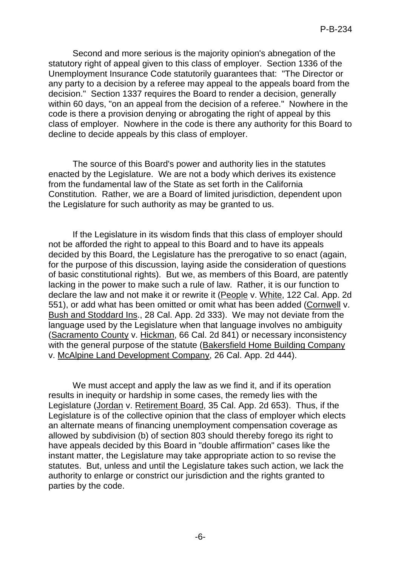Second and more serious is the majority opinion's abnegation of the statutory right of appeal given to this class of employer. Section 1336 of the Unemployment Insurance Code statutorily guarantees that: "The Director or any party to a decision by a referee may appeal to the appeals board from the decision." Section 1337 requires the Board to render a decision, generally within 60 days, "on an appeal from the decision of a referee." Nowhere in the code is there a provision denying or abrogating the right of appeal by this class of employer. Nowhere in the code is there any authority for this Board to decline to decide appeals by this class of employer.

The source of this Board's power and authority lies in the statutes enacted by the Legislature. We are not a body which derives its existence from the fundamental law of the State as set forth in the California Constitution. Rather, we are a Board of limited jurisdiction, dependent upon the Legislature for such authority as may be granted to us.

If the Legislature in its wisdom finds that this class of employer should not be afforded the right to appeal to this Board and to have its appeals decided by this Board, the Legislature has the prerogative to so enact (again, for the purpose of this discussion, laying aside the consideration of questions of basic constitutional rights). But we, as members of this Board, are patently lacking in the power to make such a rule of law. Rather, it is our function to declare the law and not make it or rewrite it (People v. White, 122 Cal. App. 2d 551), or add what has been omitted or omit what has been added (Cornwell v. Bush and Stoddard Ins., 28 Cal. App. 2d 333). We may not deviate from the language used by the Legislature when that language involves no ambiguity (Sacramento County v. Hickman, 66 Cal. 2d 841) or necessary inconsistency with the general purpose of the statute (Bakersfield Home Building Company v. McAlpine Land Development Company, 26 Cal. App. 2d 444).

We must accept and apply the law as we find it, and if its operation results in inequity or hardship in some cases, the remedy lies with the Legislature (Jordan v. Retirement Board, 35 Cal. App. 2d 653). Thus, if the Legislature is of the collective opinion that the class of employer which elects an alternate means of financing unemployment compensation coverage as allowed by subdivision (b) of section 803 should thereby forego its right to have appeals decided by this Board in "double affirmation" cases like the instant matter, the Legislature may take appropriate action to so revise the statutes. But, unless and until the Legislature takes such action, we lack the authority to enlarge or constrict our jurisdiction and the rights granted to parties by the code.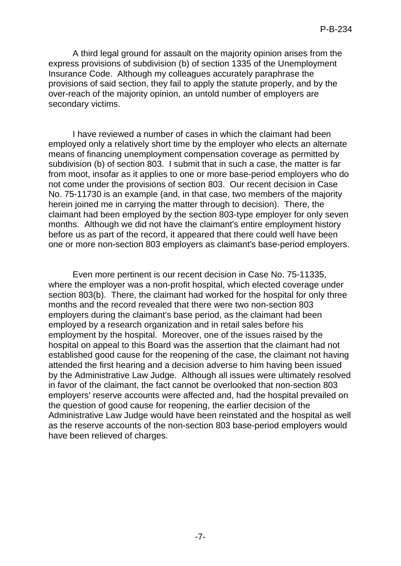A third legal ground for assault on the majority opinion arises from the express provisions of subdivision (b) of section 1335 of the Unemployment Insurance Code. Although my colleagues accurately paraphrase the provisions of said section, they fail to apply the statute properly, and by the over-reach of the majority opinion, an untold number of employers are secondary victims.

I have reviewed a number of cases in which the claimant had been employed only a relatively short time by the employer who elects an alternate means of financing unemployment compensation coverage as permitted by subdivision (b) of section 803. I submit that in such a case, the matter is far from moot, insofar as it applies to one or more base-period employers who do not come under the provisions of section 803. Our recent decision in Case No. 75-11730 is an example (and, in that case, two members of the majority herein joined me in carrying the matter through to decision). There, the claimant had been employed by the section 803-type employer for only seven months. Although we did not have the claimant's entire employment history before us as part of the record, it appeared that there could well have been one or more non-section 803 employers as claimant's base-period employers.

Even more pertinent is our recent decision in Case No. 75-11335, where the employer was a non-profit hospital, which elected coverage under section 803(b). There, the claimant had worked for the hospital for only three months and the record revealed that there were two non-section 803 employers during the claimant's base period, as the claimant had been employed by a research organization and in retail sales before his employment by the hospital. Moreover, one of the issues raised by the hospital on appeal to this Board was the assertion that the claimant had not established good cause for the reopening of the case, the claimant not having attended the first hearing and a decision adverse to him having been issued by the Administrative Law Judge. Although all issues were ultimately resolved in favor of the claimant, the fact cannot be overlooked that non-section 803 employers' reserve accounts were affected and, had the hospital prevailed on the question of good cause for reopening, the earlier decision of the Administrative Law Judge would have been reinstated and the hospital as well as the reserve accounts of the non-section 803 base-period employers would have been relieved of charges.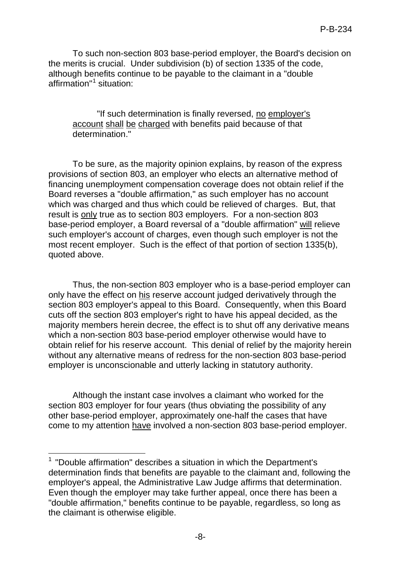To such non-section 803 base-period employer, the Board's decision on the merits is crucial. Under subdivision (b) of section 1335 of the code, although benefits continue to be payable to the claimant in a "double affirmation" [1](#page-7-0) situation:

"If such determination is finally reversed, no employer's account shall be charged with benefits paid because of that determination."

To be sure, as the majority opinion explains, by reason of the express provisions of section 803, an employer who elects an alternative method of financing unemployment compensation coverage does not obtain relief if the Board reverses a "double affirmation," as such employer has no account which was charged and thus which could be relieved of charges. But, that result is only true as to section 803 employers. For a non-section 803 base-period employer, a Board reversal of a "double affirmation" will relieve such employer's account of charges, even though such employer is not the most recent employer. Such is the effect of that portion of section 1335(b), quoted above.

Thus, the non-section 803 employer who is a base-period employer can only have the effect on his reserve account judged derivatively through the section 803 employer's appeal to this Board. Consequently, when this Board cuts off the section 803 employer's right to have his appeal decided, as the majority members herein decree, the effect is to shut off any derivative means which a non-section 803 base-period employer otherwise would have to obtain relief for his reserve account. This denial of relief by the majority herein without any alternative means of redress for the non-section 803 base-period employer is unconscionable and utterly lacking in statutory authority.

Although the instant case involves a claimant who worked for the section 803 employer for four years (thus obviating the possibility of any other base-period employer, approximately one-half the cases that have come to my attention have involved a non-section 803 base-period employer.

<span id="page-7-0"></span> 1 "Double affirmation" describes a situation in which the Department's determination finds that benefits are payable to the claimant and, following the employer's appeal, the Administrative Law Judge affirms that determination. Even though the employer may take further appeal, once there has been a "double affirmation," benefits continue to be payable, regardless, so long as the claimant is otherwise eligible.